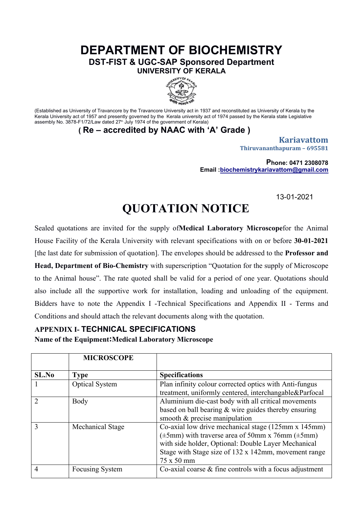## **DEPARTMENT OF BIOCHEMISTRY DST-FIST & UGC-SAP Sponsored Department UNIVERSITY OF KERALA**



(Established as University of Travancore by the Travancore University act in 1937 and reconstituted as University of Kerala by the Kerala University act of 1957 and presently governed by the Kerala university act of 1974 passed by the Kerala state Legislative assembly No. 3878-F1/72/Law dated 27<sup>th</sup> July 1974 of the government of Kerala)

**( Re – accredited by NAAC with 'A' Grade )**

**Kariavattom Thiruvananthapuram – 695581**

**Phone: 0471 2308078 Email :[biochemistrykariavattom@gmail.com](mailto:biochemistrykariavattom@gmail.com)**

13-01-2021

## **QUOTATION NOTICE**

Sealed quotations are invited for the supply of**Medical Laboratory Microscope**for the Animal House Facility of the Kerala University with relevant specifications with on or before **30-01-2021**  [the last date for submission of quotation]. The envelopes should be addressed to the **Professor and** 

**Head, Department of Bio-Chemistry** with superscription "Quotation for the supply of Microscope to the Animal house". The rate quoted shall be valid for a period of one year. Quotations should also include all the supportive work for installation, loading and unloading of the equipment. Bidders have to note the Appendix I -Technical Specifications and Appendix II - Terms and Conditions and should attach the relevant documents along with the quotation.

## **APPENDIX I- TECHNICAL SPECIFICATIONS**

**Name of the Equipment:Medical Laboratory Microscope**

|      | <b>MICROSCOPE</b>      |                                                                                                                                                                                                                                                  |
|------|------------------------|--------------------------------------------------------------------------------------------------------------------------------------------------------------------------------------------------------------------------------------------------|
| SLNo | <b>Type</b>            | <b>Specifications</b>                                                                                                                                                                                                                            |
|      | <b>Optical System</b>  | Plan infinity colour corrected optics with Anti-fungus<br>treatment, uniformly centered, interchangable&Parfocal                                                                                                                                 |
|      | Body                   | Aluminium die-cast body with all critical movements<br>based on ball bearing $&$ wire guides thereby ensuring<br>smooth $&$ precise manipulation                                                                                                 |
|      | Mechanical Stage       | Co-axial low drive mechanical stage (125mm x 145mm)<br>$(\pm 5$ mm) with traverse area of 50mm x 76mm ( $\pm 5$ mm)<br>with side holder, Optional: Double Layer Mechanical<br>Stage with Stage size of 132 x 142mm, movement range<br>75 x 50 mm |
|      | <b>Focusing System</b> | Co-axial coarse $\&$ fine controls with a focus adjustment                                                                                                                                                                                       |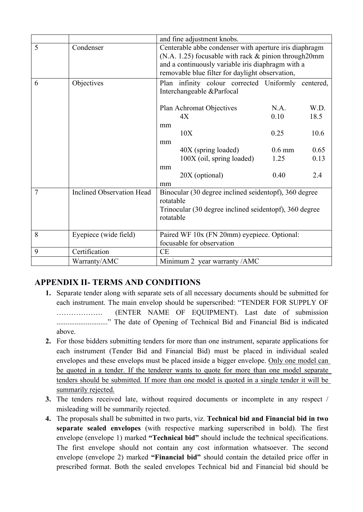|   |                                  | and fine adjustment knobs.                                                                                                                                                                                                  |          |      |  |  |
|---|----------------------------------|-----------------------------------------------------------------------------------------------------------------------------------------------------------------------------------------------------------------------------|----------|------|--|--|
| 5 | Condenser                        | Centerable abbe condenser with aperture iris diaphragm<br>$(N.A. 1.25)$ focusable with rack $&$ pinion through 20mm<br>and a continuously variable iris diaphragm with a<br>removable blue filter for daylight observation, |          |      |  |  |
| 6 | Objectives                       | Plan infinity colour corrected Uniformly centered,<br>Interchangeable &Parfocal                                                                                                                                             |          |      |  |  |
|   |                                  | Plan Achromat Objectives                                                                                                                                                                                                    | N.A.     | W.D. |  |  |
|   |                                  | 4X                                                                                                                                                                                                                          | 0.10     | 18.5 |  |  |
|   |                                  | mm                                                                                                                                                                                                                          |          |      |  |  |
|   |                                  | 10X                                                                                                                                                                                                                         | 0.25     | 10.6 |  |  |
|   |                                  | mm                                                                                                                                                                                                                          |          |      |  |  |
|   |                                  | 40X (spring loaded)                                                                                                                                                                                                         | $0.6$ mm | 0.65 |  |  |
|   |                                  | 100X (oil, spring loaded)                                                                                                                                                                                                   | 1.25     | 0.13 |  |  |
|   |                                  | mm<br>20X (optional)<br>mm                                                                                                                                                                                                  | 0.40     | 2.4  |  |  |
| 7 | <b>Inclined Observation Head</b> | Binocular (30 degree inclined seidentopf), 360 degree<br>rotatable                                                                                                                                                          |          |      |  |  |
|   |                                  | Trinocular (30 degree inclined seidentopf), 360 degree<br>rotatable                                                                                                                                                         |          |      |  |  |
| 8 | Eyepiece (wide field)            | Paired WF 10x (FN 20mm) eyepiece. Optional:<br>focusable for observation                                                                                                                                                    |          |      |  |  |
| 9 | Certification                    | CE                                                                                                                                                                                                                          |          |      |  |  |
|   | Warranty/AMC                     | Minimum 2 year warranty /AMC                                                                                                                                                                                                |          |      |  |  |

## **APPENDIX II- TERMS AND CONDITIONS**

- **1.** Separate tender along with separate sets of all necessary documents should be submitted for each instrument. The main envelop should be superscribed: "TENDER FOR SUPPLY OF ………………. (ENTER NAME OF EQUIPMENT). Last date of submission ............................" The date of Opening of Technical Bid and Financial Bid is indicated above.
- **2.** For those bidders submitting tenders for more than one instrument, separate applications for each instrument (Tender Bid and Financial Bid) must be placed in individual sealed envelopes and these envelops must be placed inside a bigger envelope. Only one model can be quoted in a tender. If the tenderer wants to quote for more than one model separate tenders should be submitted. If more than one model is quoted in a single tender it will be summarily rejected.
- **3.** The tenders received late, without required documents or incomplete in any respect / misleading will be summarily rejected.
- **4.** The proposals shall be submitted in two parts, viz. **Technical bid and Financial bid in two separate sealed envelopes** (with respective marking superscribed in bold). The first envelope (envelope 1) marked **"Technical bid"** should include the technical specifications. The first envelope should not contain any cost information whatsoever. The second envelope (envelope 2) marked **"Financial bid"** should contain the detailed price offer in prescribed format. Both the sealed envelopes Technical bid and Financial bid should be